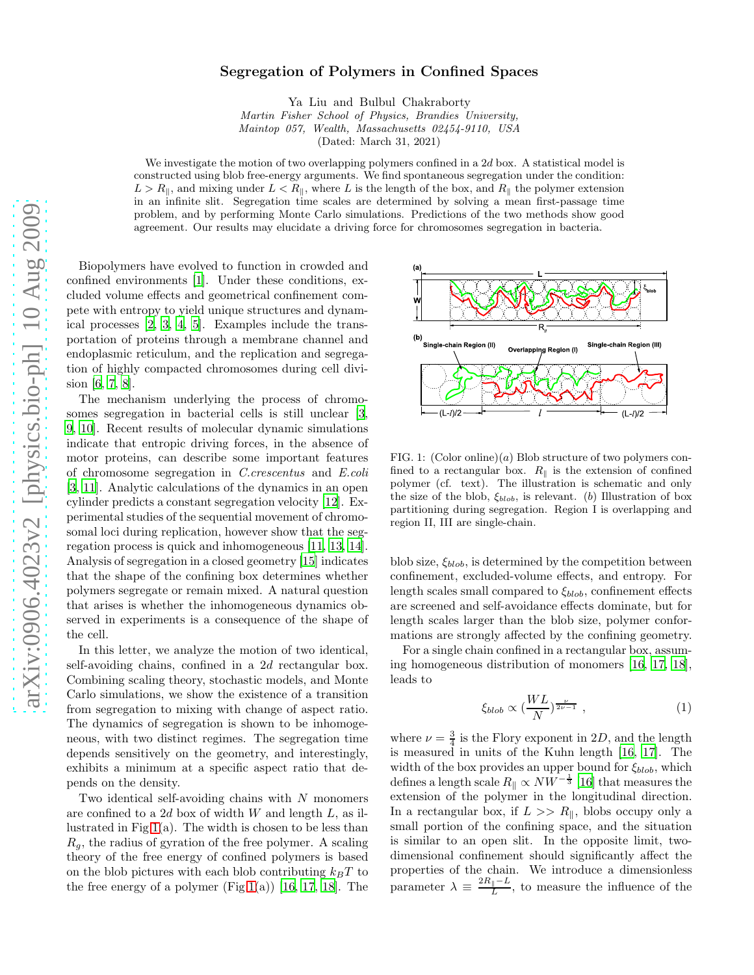## arXiv:0906.4023v2 [physics.bio-ph] 10 Aug 2009 [arXiv:0906.4023v2 \[physics.bio-ph\] 10 Aug 2009](http://arxiv.org/abs/0906.4023v2)

## Segregation of Polymers in Confined Spaces

Ya Liu and Bulbul Chakraborty

*Martin Fisher School of Physics, Brandies University, Maintop 057, Wealth, Massachusetts 02454-9110, USA*

(Dated: March 31, 2021)

We investigate the motion of two overlapping polymers confined in a  $2d$  box. A statistical model is constructed using blob free-energy arguments. We find spontaneous segregation under the condition:  $L > R_{\parallel}$ , and mixing under  $L < R_{\parallel}$ , where L is the length of the box, and  $R_{\parallel}$  the polymer extension in an infinite slit. Segregation time scales are determined by solving a mean first-passage time problem, and by performing Monte Carlo simulations. Predictions of the two methods show good agreement. Our results may elucidate a driving force for chromosomes segregation in bacteria.

Biopolymers have evolved to function in crowded and confined environments [\[1](#page-3-0)]. Under these conditions, excluded volume effects and geometrical confinement compete with entropy to yield unique structures and dynamical processes [\[2,](#page-3-1) [3](#page-3-2), [4](#page-3-3), [5\]](#page-3-4). Examples include the transportation of proteins through a membrane channel and endoplasmic reticulum, and the replication and segregation of highly compacted chromosomes during cell division [\[6](#page-3-5), [7](#page-3-6), [8\]](#page-3-7).

The mechanism underlying the process of chromosomes segregation in bacterial cells is still unclear [\[3](#page-3-2), [9](#page-3-8), [10\]](#page-3-9). Recent results of molecular dynamic simulations indicate that entropic driving forces, in the absence of motor proteins, can describe some important features of chromosome segregation in C.crescentus and E.coli [\[3,](#page-3-2) [11\]](#page-3-10). Analytic calculations of the dynamics in an open cylinder predicts a constant segregation velocity [\[12](#page-3-11)]. Experimental studies of the sequential movement of chromosomal loci during replication, however show that the segregation process is quick and inhomogeneous [\[11](#page-3-10), [13,](#page-3-12) [14\]](#page-3-13). Analysis of segregation in a closed geometry [\[15\]](#page-3-14) indicates that the shape of the confining box determines whether polymers segregate or remain mixed. A natural question that arises is whether the inhomogeneous dynamics observed in experiments is a consequence of the shape of the cell.

In this letter, we analyze the motion of two identical, self-avoiding chains, confined in a 2d rectangular box. Combining scaling theory, stochastic models, and Monte Carlo simulations, we show the existence of a transition from segregation to mixing with change of aspect ratio. The dynamics of segregation is shown to be inhomogeneous, with two distinct regimes. The segregation time depends sensitively on the geometry, and interestingly, exhibits a minimum at a specific aspect ratio that depends on the density.

Two identical self-avoiding chains with  $N$  monomers are confined to a 2d box of width  $W$  and length  $L$ , as il-lustrated in Fig[.1\(](#page-0-0)a). The width is chosen to be less than  $R_q$ , the radius of gyration of the free polymer. A scaling theory of the free energy of confined polymers is based on the blob pictures with each blob contributing  $k_BT$  to the free energy of a polymer  $(Fig.1(a))$  $(Fig.1(a))$  $(Fig.1(a))$  [\[16,](#page-3-15) [17,](#page-3-16) [18\]](#page-3-17). The



<span id="page-0-0"></span>FIG. 1:  $(Color online)(a) Blob structure of two polymers con$ fined to a rectangular box.  $R_{\parallel}$  is the extension of confined polymer (cf. text). The illustration is schematic and only the size of the blob,  $\xi_{blob}$ , is relevant. (b) Illustration of box partitioning during segregation. Region I is overlapping and region II, III are single-chain.

blob size,  $\xi_{blob}$ , is determined by the competition between confinement, excluded-volume effects, and entropy. For length scales small compared to  $\xi_{blob}$ , confinement effects are screened and self-avoidance effects dominate, but for length scales larger than the blob size, polymer conformations are strongly affected by the confining geometry.

For a single chain confined in a rectangular box, assuming homogeneous distribution of monomers [\[16](#page-3-15), [17,](#page-3-16) [18\]](#page-3-17), leads to

$$
\xi_{blob} \propto (\frac{WL}{N})^{\frac{\nu}{2\nu - 1}} \tag{1}
$$

where  $\nu = \frac{3}{4}$  is the Flory exponent in 2D, and the length is measured in units of the Kuhn length [\[16,](#page-3-15) [17](#page-3-16)]. The width of the box provides an upper bound for  $\xi_{blob}$ , which defines a length scale  $R_{\parallel} \propto N W^{-\frac{1}{3}}$  [\[16\]](#page-3-15) that measures the extension of the polymer in the longitudinal direction. In a rectangular box, if  $L >> R_{\parallel}$ , blobs occupy only a small portion of the confining space, and the situation is similar to an open slit. In the opposite limit, twodimensional confinement should significantly affect the properties of the chain. We introduce a dimensionless parameter  $\lambda \equiv \frac{2R_{\parallel}-L}{L}$  $\frac{1}{L}$ , to measure the influence of the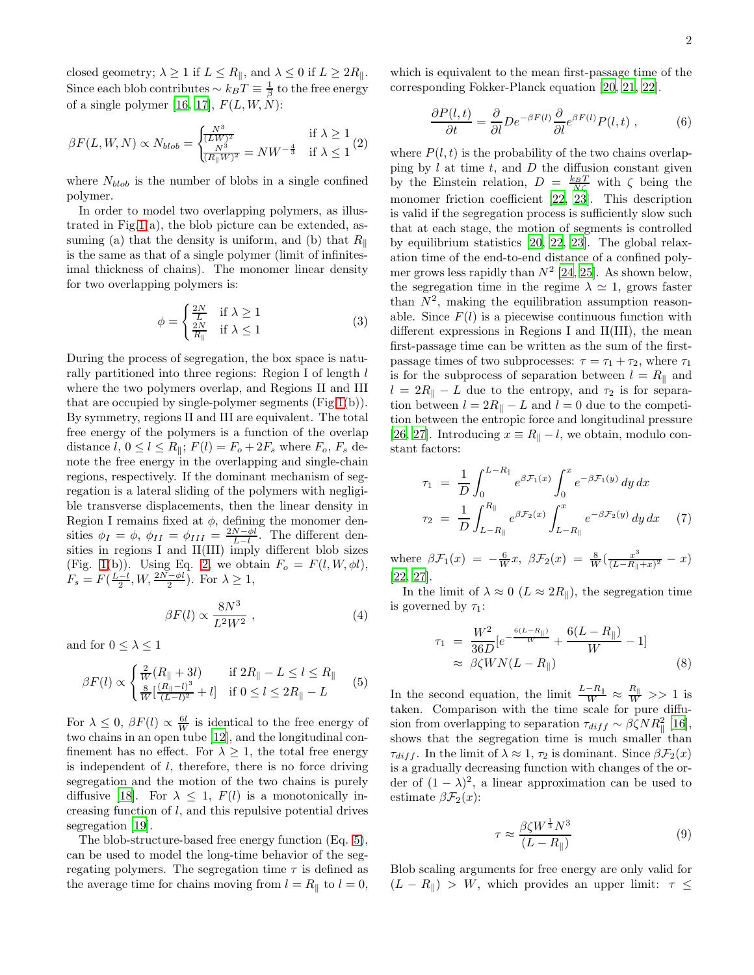closed geometry;  $\lambda \geq 1$  if  $L \leq R_{\parallel}$ , and  $\lambda \leq 0$  if  $L \geq 2R_{\parallel}$ . Since each blob contributes  $\sim k_BT \equiv \frac{1}{\beta}$  to the free energy of a single polymer [\[16,](#page-3-15) [17\]](#page-3-16),  $F(L, W, N)$ :

<span id="page-1-0"></span>
$$
\beta F(L, W, N) \propto N_{blob} = \begin{cases} \frac{N^3}{(LW)^2} & \text{if } \lambda \ge 1\\ \frac{N^3}{(R_{\parallel}W)^2} = NW^{-\frac{4}{3}} & \text{if } \lambda \le 1 \end{cases} (2)
$$

where  $N_{blob}$  is the number of blobs in a single confined polymer.

In order to model two overlapping polymers, as illustrated in Fig[.1\(](#page-0-0)a), the blob picture can be extended, assuming (a) that the density is uniform, and (b) that  $R_{\parallel}$ is the same as that of a single polymer (limit of infinitesimal thickness of chains). The monomer linear density for two overlapping polymers is:

<span id="page-1-2"></span>
$$
\phi = \begin{cases} \frac{2N}{L} & \text{if } \lambda \ge 1\\ \frac{2N}{R_{\parallel}} & \text{if } \lambda \le 1 \end{cases}
$$
 (3)

During the process of segregation, the box space is naturally partitioned into three regions: Region I of length l where the two polymers overlap, and Regions II and III that are occupied by single-polymer segments (Fig[.1\(](#page-0-0)b)). By symmetry, regions II and III are equivalent. The total free energy of the polymers is a function of the overlap distance  $l, 0 \leq l \leq R_{\parallel}; F(l) = F_o + 2F_s$  where  $F_o, F_s$  denote the free energy in the overlapping and single-chain regions, respectively. If the dominant mechanism of segregation is a lateral sliding of the polymers with negligible transverse displacements, then the linear density in Region I remains fixed at  $\phi$ , defining the monomer densities  $\phi_I = \phi$ ,  $\phi_{II} = \phi_{III} = \frac{2N-\phi I}{L-l}$ . The different densities in regions I and II(III) imply different blob sizes (Fig. [1\(](#page-0-0)b)). Using Eq. [2,](#page-1-0) we obtain  $F_o = F(l, W, \phi l)$ ,  $F_s = F(\frac{L-l}{2}, W, \frac{2N-\phi l}{2})$ . For  $\lambda \geq 1$ ,

$$
\beta F(l) \propto \frac{8N^3}{L^2 W^2} \,, \tag{4}
$$

and for  $0 \leq \lambda \leq 1$ 

<span id="page-1-1"></span>
$$
\beta F(l) \propto \begin{cases} \frac{2}{W} (R_{\parallel} + 3l) & \text{if } 2R_{\parallel} - L \le l \le R_{\parallel} \\ \frac{8}{W} [\frac{(R_{\parallel} - l)^3}{(L - l)^2} + l] & \text{if } 0 \le l \le 2R_{\parallel} - L \end{cases} \tag{5}
$$

For  $\lambda \leq 0$ ,  $\beta F(l) \propto \frac{6l}{W}$  is identical to the free energy of two chains in an open tube [\[12](#page-3-11)], and the longitudinal confinement has no effect. For  $\lambda \geq 1$ , the total free energy is independent of  $l$ , therefore, there is no force driving segregation and the motion of the two chains is purely diffusive [\[18](#page-3-17)]. For  $\lambda \leq 1$ ,  $F(l)$  is a monotonically increasing function of l, and this repulsive potential drives segregation [\[19\]](#page-3-18).

The blob-structure-based free energy function (Eq. [5\)](#page-1-1), can be used to model the long-time behavior of the segregating polymers. The segregation time  $\tau$  is defined as the average time for chains moving from  $l = R_{\parallel}$  to  $l = 0$ ,

which is equivalent to the mean first-passage time of the corresponding Fokker-Planck equation [\[20,](#page-3-19) [21,](#page-3-20) [22\]](#page-3-21).

$$
\frac{\partial P(l,t)}{\partial t} = \frac{\partial}{\partial l} D e^{-\beta F(l)} \frac{\partial}{\partial l} e^{\beta F(l)} P(l,t) , \qquad (6)
$$

where  $P(l, t)$  is the probability of the two chains overlapping by  $l$  at time  $t$ , and  $D$  the diffusion constant given by the Einstein relation,  $D = \frac{k_B T}{N \zeta}$  with  $\zeta$  being the monomer friction coefficient [\[22,](#page-3-21) [23\]](#page-3-22). This description is valid if the segregation process is sufficiently slow such that at each stage, the motion of segments is controlled by equilibrium statistics [\[20](#page-3-19), [22](#page-3-21), [23](#page-3-22)]. The global relaxation time of the end-to-end distance of a confined polymer grows less rapidly than  $N^2$  [\[24,](#page-3-23) [25](#page-3-24)]. As shown below, the segregation time in the regime  $\lambda \simeq 1$ , grows faster than  $N^2$ , making the equilibration assumption reasonable. Since  $F(l)$  is a piecewise continuous function with different expressions in Regions I and II(III), the mean first-passage time can be written as the sum of the firstpassage times of two subprocesses:  $\tau = \tau_1 + \tau_2$ , where  $\tau_1$ is for the subprocess of separation between  $l = R_{\parallel}$  and  $l = 2R_{\parallel} - L$  due to the entropy, and  $\tau_2$  is for separation between  $l = 2R_{\parallel} - L$  and  $l = 0$  due to the competition between the entropic force and longitudinal pressure [\[26,](#page-3-25) [27\]](#page-3-26). Introducing  $x \equiv R_{\parallel} - l$ , we obtain, modulo constant factors:

<span id="page-1-3"></span>
$$
\tau_1 = \frac{1}{D} \int_0^{L-R_{\parallel}} e^{\beta \mathcal{F}_1(x)} \int_0^x e^{-\beta \mathcal{F}_1(y)} dy dx
$$

$$
\tau_2 = \frac{1}{D} \int_{L-R_{\parallel}}^{R_{\parallel}} e^{\beta \mathcal{F}_2(x)} \int_{L-R_{\parallel}}^x e^{-\beta \mathcal{F}_2(y)} dy dx \quad (7)
$$

where  $\beta \mathcal{F}_1(x) = -\frac{6}{W}x$ ,  $\beta \mathcal{F}_2(x) = \frac{8}{W}(\frac{x^3}{(L-R_{\parallel})^2})$  $\frac{x^3}{(L-R_{\parallel}+x)^2} - x$ [\[22,](#page-3-21) [27\]](#page-3-26).

In the limit of  $\lambda \approx 0$  ( $L \approx 2R_{\parallel}$ ), the segregation time is governed by  $\tau_1$ :

<span id="page-1-4"></span>
$$
\tau_1 = \frac{W^2}{36D} [e^{-\frac{6(L - R_{\parallel})}{W}} + \frac{6(L - R_{\parallel})}{W} - 1] \approx \beta \zeta W N (L - R_{\parallel})
$$
\n(8)

In the second equation, the limit  $\frac{L-R_{\parallel}}{W} \approx \frac{R_{\parallel}}{W} >> 1$  is taken. Comparison with the time scale for pure diffusion from overlapping to separation  $\tau_{diff} \sim \beta \zeta N R_{\parallel}^2$  [\[16\]](#page-3-15), shows that the segregation time is much smaller than  $\tau_{diff}$ . In the limit of  $\lambda \approx 1, \tau_2$  is dominant. Since  $\beta \mathcal{F}_2(x)$ is a gradually decreasing function with changes of the order of  $(1 - \lambda)^2$ , a linear approximation can be used to estimate  $\beta \mathcal{F}_2(x)$ :

<span id="page-1-5"></span>
$$
\tau \approx \frac{\beta \zeta W^{\frac{1}{3}} N^3}{(L - R_{\parallel})} \tag{9}
$$

Blob scaling arguments for free energy are only valid for  $(L - R_{\parallel}) > W$ , which provides an upper limit:  $\tau \leq$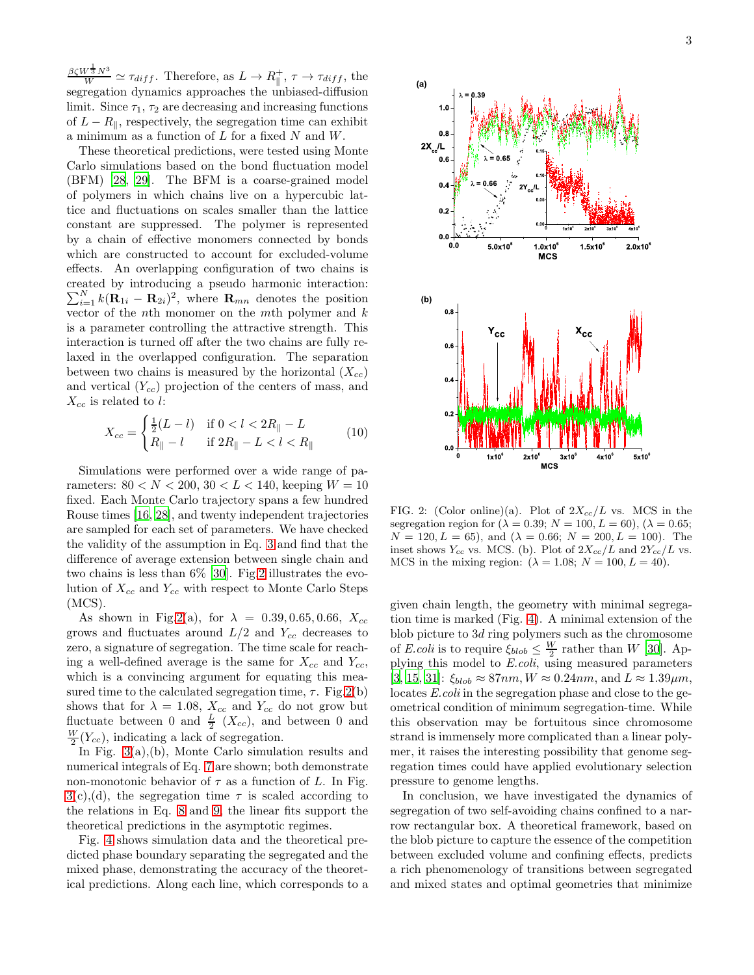$\frac{\beta \zeta W^{\frac{1}{3}} N^3}{W} \simeq \tau_{diff}$ . Therefore, as  $L \to R_{\parallel}^+$ ,  $\tau \to \tau_{diff}$ , the segregation dynamics approaches the unbiased-diffusion limit. Since  $\tau_1$ ,  $\tau_2$  are decreasing and increasing functions of  $L - R_{\parallel}$ , respectively, the segregation time can exhibit a minimum as a function of  $L$  for a fixed  $N$  and  $W$ .

These theoretical predictions, were tested using Monte Carlo simulations based on the bond fluctuation model (BFM) [\[28](#page-3-27), [29](#page-3-28)]. The BFM is a coarse-grained model of polymers in which chains live on a hypercubic lattice and fluctuations on scales smaller than the lattice constant are suppressed. The polymer is represented by a chain of effective monomers connected by bonds which are constructed to account for excluded-volume effects. An overlapping configuration of two chains is created by introducing a pseudo harmonic interaction:  $\sum_{i=1}^{N} k(\mathbf{R}_{1i} - \mathbf{R}_{2i})^2$ , where  $\mathbf{R}_{mn}$  denotes the position vector of the nth monomer on the mth polymer and  $k$ is a parameter controlling the attractive strength. This interaction is turned off after the two chains are fully relaxed in the overlapped configuration. The separation between two chains is measured by the horizontal  $(X_{cc})$ and vertical  $(Y_{cc})$  projection of the centers of mass, and  $X_{cc}$  is related to l:

$$
X_{cc} = \begin{cases} \frac{1}{2}(L-l) & \text{if } 0 < l < 2R_{\parallel} - L \\ R_{\parallel} - l & \text{if } 2R_{\parallel} - L < l < R_{\parallel} \end{cases}
$$
(10)

Simulations were performed over a wide range of parameters:  $80 < N < 200, 30 < L < 140$ , keeping  $W = 10$ fixed. Each Monte Carlo trajectory spans a few hundred Rouse times [\[16](#page-3-15), [28\]](#page-3-27), and twenty independent trajectories are sampled for each set of parameters. We have checked the validity of the assumption in Eq. [3](#page-1-2) and find that the difference of average extension between single chain and two chains is less than 6% [\[30](#page-3-29)]. Fig[.2](#page-2-0) illustrates the evolution of  $X_{cc}$  and  $Y_{cc}$  with respect to Monte Carlo Steps (MCS).

As shown in Fig[.2\(](#page-2-0)a), for  $\lambda = 0.39, 0.65, 0.66, X_{cc}$ grows and fluctuates around  $L/2$  and  $Y_{cc}$  decreases to zero, a signature of segregation. The time scale for reaching a well-defined average is the same for  $X_{cc}$  and  $Y_{cc}$ , which is a convincing argument for equating this measured time to the calculated segregation time,  $\tau$ . Fig. 2(b) shows that for  $\lambda = 1.08$ ,  $X_{cc}$  and  $Y_{cc}$  do not grow but fluctuate between 0 and  $\frac{L}{2}$  (X<sub>cc</sub>), and between 0 and  $\frac{W}{2}(Y_{cc})$ , indicating a lack of segregation.

In Fig. [3\(](#page-3-30)a),(b), Monte Carlo simulation results and numerical integrals of Eq. [7](#page-1-3) are shown; both demonstrate non-monotonic behavior of  $\tau$  as a function of L. In Fig.  $3(c)$  $3(c)$ , (d), the segregation time  $\tau$  is scaled according to the relations in Eq. [8](#page-1-4) and [9,](#page-1-5) the linear fits support the theoretical predictions in the asymptotic regimes.

Fig. [4](#page-3-31) shows simulation data and the theoretical predicted phase boundary separating the segregated and the mixed phase, demonstrating the accuracy of the theoretical predictions. Along each line, which corresponds to a 3



<span id="page-2-0"></span>FIG. 2: (Color online)(a). Plot of  $2X_{cc}/L$  vs. MCS in the segregation region for  $(\lambda = 0.39; N = 100, L = 60)$ ,  $(\lambda = 0.65;$  $N = 120, L = 65$ , and  $(\lambda = 0.66; N = 200, L = 100)$ . The inset shows  $Y_{cc}$  vs. MCS. (b). Plot of  $2X_{cc}/L$  and  $2Y_{cc}/L$  vs. MCS in the mixing region:  $(\lambda = 1.08; N = 100, L = 40)$ .

given chain length, the geometry with minimal segregation time is marked (Fig. [4\)](#page-3-31). A minimal extension of the blob picture to 3d ring polymers such as the chromosome of E.coli is to require  $\xi_{blob} \leq \frac{W}{2}$  rather than W [\[30\]](#page-3-29). Applying this model to E.coli, using measured parameters [\[3,](#page-3-2) [15](#page-3-14), [31\]](#page-3-32):  $\xi_{hlob} \approx 87nm$ ,  $W \approx 0.24nm$ , and  $L \approx 1.39 \mu m$ , locates E.coli in the segregation phase and close to the geometrical condition of minimum segregation-time. While this observation may be fortuitous since chromosome strand is immensely more complicated than a linear polymer, it raises the interesting possibility that genome segregation times could have applied evolutionary selection pressure to genome lengths.

In conclusion, we have investigated the dynamics of segregation of two self-avoiding chains confined to a narrow rectangular box. A theoretical framework, based on the blob picture to capture the essence of the competition between excluded volume and confining effects, predicts a rich phenomenology of transitions between segregated and mixed states and optimal geometries that minimize